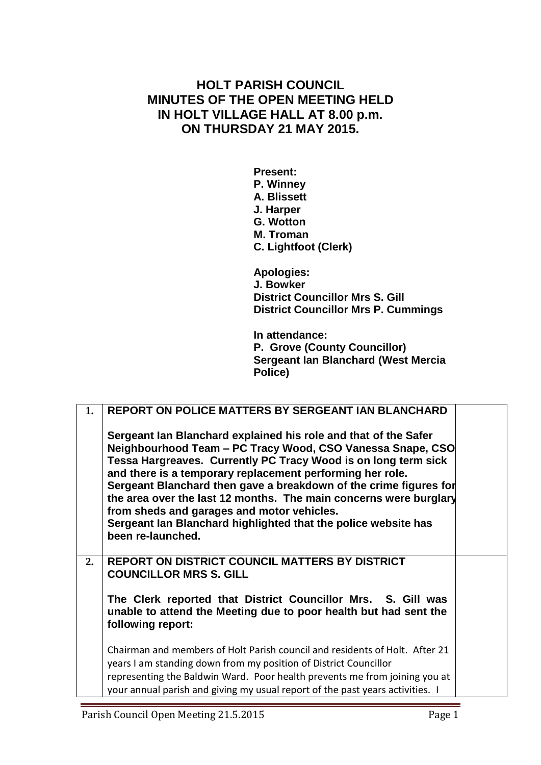## **HOLT PARISH COUNCIL MINUTES OF THE OPEN MEETING HELD IN HOLT VILLAGE HALL AT 8.00 p.m. ON THURSDAY 21 MAY 2015.**

**Present: P. Winney A. Blissett J. Harper G. Wotton M. Troman C. Lightfoot (Clerk)**

**Apologies: J. Bowker District Councillor Mrs S. Gill District Councillor Mrs P. Cummings**

**In attendance: P. Grove (County Councillor) Sergeant Ian Blanchard (West Mercia Police)**

| 1. | <b>REPORT ON POLICE MATTERS BY SERGEANT IAN BLANCHARD</b>                                                                                                                                                                                                                                                                                                                                                                                                                                                                                   |
|----|---------------------------------------------------------------------------------------------------------------------------------------------------------------------------------------------------------------------------------------------------------------------------------------------------------------------------------------------------------------------------------------------------------------------------------------------------------------------------------------------------------------------------------------------|
|    | Sergeant Ian Blanchard explained his role and that of the Safer<br>Neighbourhood Team - PC Tracy Wood, CSO Vanessa Snape, CSO<br>Tessa Hargreaves. Currently PC Tracy Wood is on long term sick<br>and there is a temporary replacement performing her role.<br>Sergeant Blanchard then gave a breakdown of the crime figures for<br>the area over the last 12 months. The main concerns were burglary<br>from sheds and garages and motor vehicles.<br>Sergeant Ian Blanchard highlighted that the police website has<br>been re-launched. |
| 2. | REPORT ON DISTRICT COUNCIL MATTERS BY DISTRICT<br><b>COUNCILLOR MRS S. GILL</b>                                                                                                                                                                                                                                                                                                                                                                                                                                                             |
|    | The Clerk reported that District Councillor Mrs. S. Gill was<br>unable to attend the Meeting due to poor health but had sent the<br>following report:                                                                                                                                                                                                                                                                                                                                                                                       |
|    | Chairman and members of Holt Parish council and residents of Holt. After 21<br>years I am standing down from my position of District Councillor<br>representing the Baldwin Ward. Poor health prevents me from joining you at<br>your annual parish and giving my usual report of the past years activities. I                                                                                                                                                                                                                              |